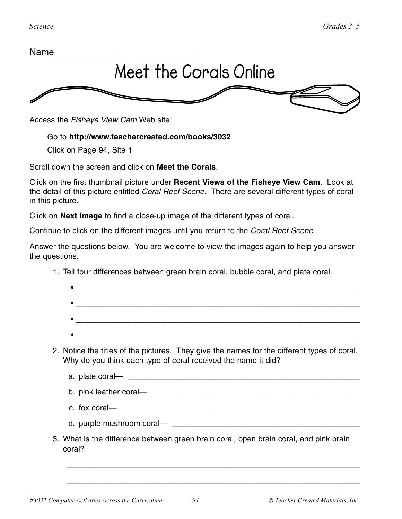

Access the *Fisheye View Cam* Web site:

## Go to **http://www.teachercreated.com/books/3032**

Click on Page 94, Site 1

Scroll down the screen and click on **Meet the Corals**.

Click on the first thumbnail picture under **Recent Views of the Fisheye View Cam**. Look at the detail of this picture entitled *Coral Reef Scene*. There are several different types of coral in this picture.

Click on **Next Image** to find a close-up image of the different types of coral.

Continue to click on the different images until you return to the *Coral Reef Scene*.

Answer the questions below. You are welcome to view the images again to help you answer the questions.

| 2. Notice the titles of the pictures. They give the names for the different types of coral.<br>Why do you think each type of coral received the name it did? |
|--------------------------------------------------------------------------------------------------------------------------------------------------------------|
|                                                                                                                                                              |
| b. pink leather coral—                                                                                                                                       |

1. Tell four differences between green brain coral, bubble coral, and plate coral.

- c. fox coral—
- d. purple mushroom coral— \_\_\_\_\_\_\_\_\_\_\_\_\_\_\_\_\_\_\_\_\_\_\_\_\_\_\_\_\_\_\_\_\_\_\_\_\_\_\_\_\_\_\_

\_\_\_\_\_\_\_\_\_\_\_\_\_\_\_\_\_\_\_\_\_\_\_\_\_\_\_\_\_\_\_\_\_\_\_\_\_\_\_\_\_\_\_\_\_\_\_\_\_\_\_\_\_\_\_\_\_\_\_\_\_\_\_\_\_\_\_

\_\_\_\_\_\_\_\_\_\_\_\_\_\_\_\_\_\_\_\_\_\_\_\_\_\_\_\_\_\_\_\_\_\_\_\_\_\_\_\_\_\_\_\_\_\_\_\_\_\_\_\_\_\_\_\_\_\_\_\_\_\_\_\_\_\_\_

3. What is the difference between green brain coral, open brain coral, and pink brain coral?